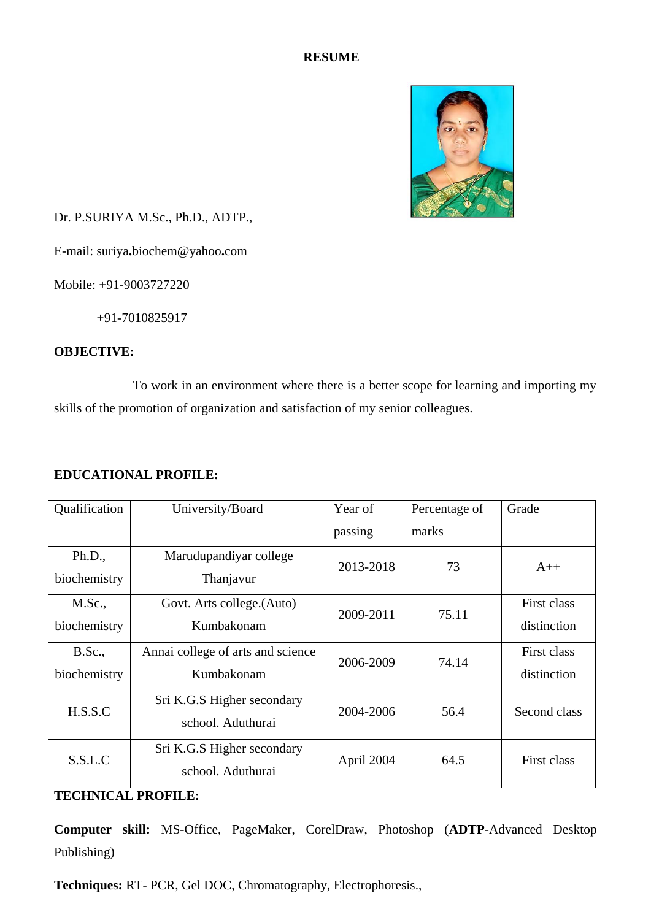## **RESUME**



Dr. P.SURIYA M.Sc., Ph.D., ADTP.,

E-mail: suriya**.**biochem@yahoo**.**com

Mobile: +91-9003727220

+91-7010825917

## **OBJECTIVE:**

To work in an environment where there is a better scope for learning and importing my skills of the promotion of organization and satisfaction of my senior colleagues.

# **EDUCATIONAL PROFILE:**

| Qualification                 | University/Board                                | Year of    | Percentage of | Grade                      |
|-------------------------------|-------------------------------------------------|------------|---------------|----------------------------|
|                               |                                                 | passing    | marks         |                            |
| Ph.D.,<br>biochemistry        | Marudupandiyar college<br>Thanjavur             | 2013-2018  | 73            | $A++$                      |
| M.Sc.,<br>biochemistry        | Govt. Arts college.(Auto)<br>Kumbakonam         | 2009-2011  | 75.11         | First class<br>distinction |
| <b>B.Sc.,</b><br>biochemistry | Annai college of arts and science<br>Kumbakonam | 2006-2009  | 74.14         | First class<br>distinction |
| H.S.S.C                       | Sri K.G.S Higher secondary<br>school. Aduthurai | 2004-2006  | 56.4          | Second class               |
| S.S.L.C                       | Sri K.G.S Higher secondary<br>school. Aduthurai | April 2004 | 64.5          | First class                |

### **TECHNICAL PROFILE:**

**Computer skill:** MS-Office, PageMaker, CorelDraw, Photoshop (**ADTP**-Advanced Desktop Publishing)

**Techniques:** RT- PCR, Gel DOC, Chromatography, Electrophoresis.,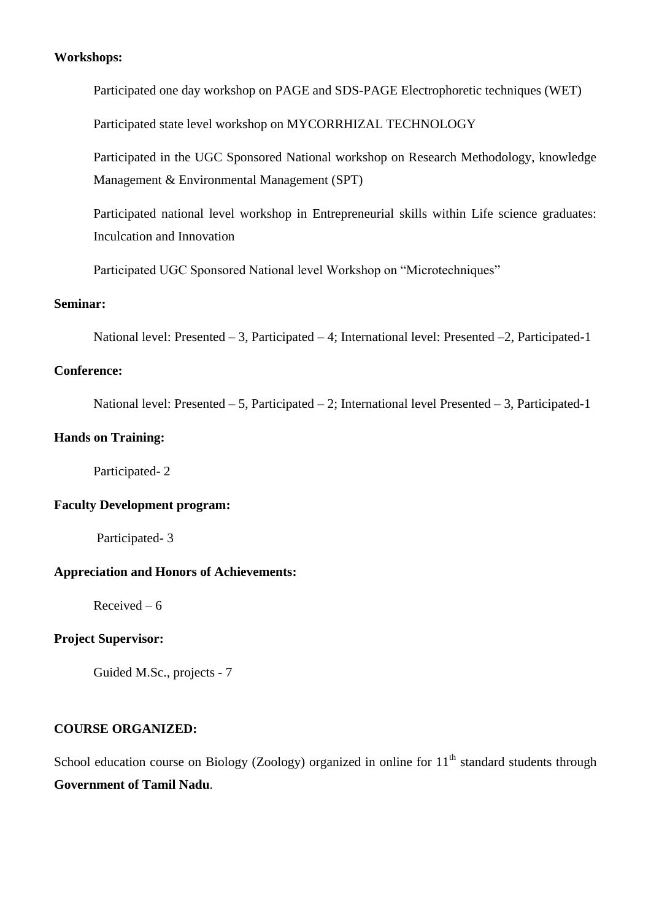#### **Workshops:**

Participated one day workshop on PAGE and SDS-PAGE Electrophoretic techniques (WET)

Participated state level workshop on MYCORRHIZAL TECHNOLOGY

Participated in the UGC Sponsored National workshop on Research Methodology, knowledge Management & Environmental Management (SPT)

Participated national level workshop in Entrepreneurial skills within Life science graduates: Inculcation and Innovation

Participated UGC Sponsored National level Workshop on "Microtechniques"

#### **Seminar:**

National level: Presented – 3, Participated – 4; International level: Presented –2, Participated-1

#### **Conference:**

National level: Presented – 5, Participated – 2; International level Presented – 3, Participated-1

### **Hands on Training:**

Participated- 2

## **Faculty Development program:**

Participated- 3

## **Appreciation and Honors of Achievements:**

Received – 6

### **Project Supervisor:**

Guided M.Sc., projects - 7

## **COURSE ORGANIZED:**

School education course on Biology (Zoology) organized in online for  $11<sup>th</sup>$  standard students through **Government of Tamil Nadu**.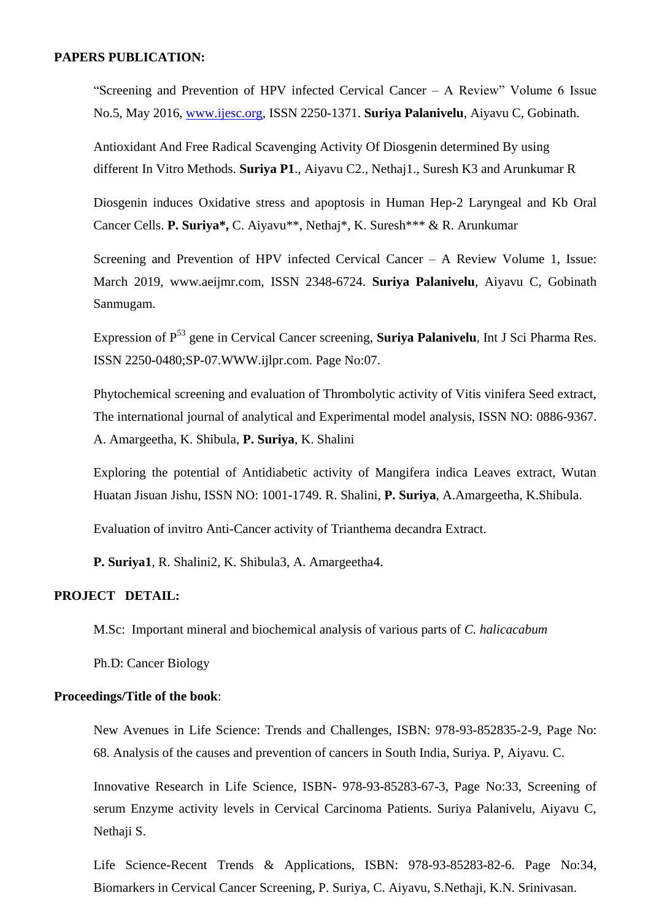#### **PAPERS PUBLICATION:**

"Screening and Prevention of HPV infected Cervical Cancer – A Review" Volume 6 Issue No.5, May 2016, [www.ijesc.org,](http://www.ijesc.org/) ISSN 2250-1371. **Suriya Palanivelu**, Aiyavu C, Gobinath.

Antioxidant And Free Radical Scavenging Activity Of Diosgenin determined By using different In Vitro Methods. **Suriya P1**., Aiyavu C2., Nethaj1., Suresh K3 and Arunkumar R

Diosgenin induces Oxidative stress and apoptosis in Human Hep-2 Laryngeal and Kb Oral Cancer Cells. **P. Suriya\*,** C. Aiyavu\*\*, Nethaj\*, K. Suresh\*\*\* & R. Arunkumar

Screening and Prevention of HPV infected Cervical Cancer – A Review Volume 1, Issue: March 2019, www.aeijmr.com, ISSN 2348-6724. **Suriya Palanivelu**, Aiyavu C, Gobinath Sanmugam.

Expression of P<sup>53</sup> gene in Cervical Cancer screening, **Suriya Palanivelu**, Int J Sci Pharma Res. ISSN 2250-0480;SP-07.WWW.ijlpr.com. Page No:07.

Phytochemical screening and evaluation of Thrombolytic activity of Vitis vinifera Seed extract, The international journal of analytical and Experimental model analysis, ISSN NO: 0886-9367. A. Amargeetha, K. Shibula, **P. Suriya**, K. Shalini

Exploring the potential of Antidiabetic activity of Mangifera indica Leaves extract, Wutan Huatan Jisuan Jishu, ISSN NO: 1001-1749. R. Shalini, **P. Suriya**, A.Amargeetha, K.Shibula.

Evaluation of invitro Anti-Cancer activity of Trianthema decandra Extract.

**P. Suriya1**, R. Shalini2, K. Shibula3, A. Amargeetha4.

#### **PROJECT DETAIL:**

M.Sc: Important mineral and biochemical analysis of various parts of *C. halicacabum*

Ph.D: Cancer Biology

#### **Proceedings/Title of the book**:

New Avenues in Life Science: Trends and Challenges, ISBN: 978-93-852835-2-9, Page No: 68. Analysis of the causes and prevention of cancers in South India, Suriya. P, Aiyavu. C.

Innovative Research in Life Science, ISBN- 978-93-85283-67-3, Page No:33, Screening of serum Enzyme activity levels in Cervical Carcinoma Patients. Suriya Palanivelu, Aiyavu C, Nethaii S.

Life Science-Recent Trends & Applications, ISBN: 978-93-85283-82-6. Page No:34, Biomarkers in Cervical Cancer Screening, P. Suriya, C. Aiyavu, S.Nethaji, K.N. Srinivasan.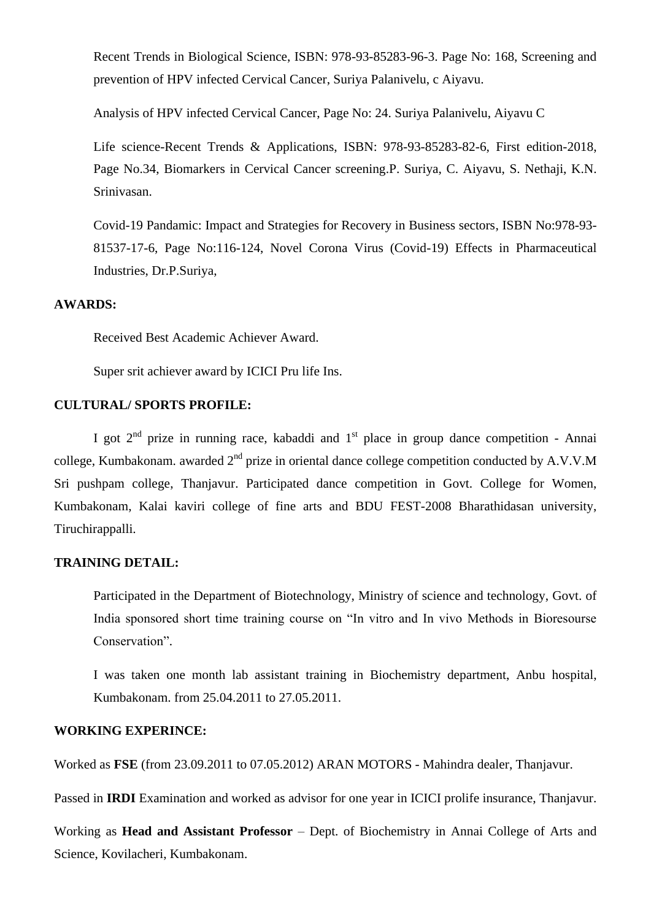Recent Trends in Biological Science, ISBN: 978-93-85283-96-3. Page No: 168, Screening and prevention of HPV infected Cervical Cancer, Suriya Palanivelu, c Aiyavu.

Analysis of HPV infected Cervical Cancer, Page No: 24. Suriya Palanivelu, Aiyavu C

Life science-Recent Trends & Applications, ISBN: 978-93-85283-82-6, First edition-2018, Page No.34, Biomarkers in Cervical Cancer screening.P. Suriya, C. Aiyavu, S. Nethaji, K.N. Srinivasan.

Covid-19 Pandamic: Impact and Strategies for Recovery in Business sectors, ISBN No:978-93- 81537-17-6, Page No:116-124, Novel Corona Virus (Covid-19) Effects in Pharmaceutical Industries, Dr.P.Suriya,

### **AWARDS:**

Received Best Academic Achiever Award.

Super srit achiever award by ICICI Pru life Ins.

#### **CULTURAL/ SPORTS PROFILE:**

I got  $2<sup>nd</sup>$  prize in running race, kabaddi and  $1<sup>st</sup>$  place in group dance competition - Annai college, Kumbakonam. awarded  $2<sup>nd</sup>$  prize in oriental dance college competition conducted by A.V.V.M Sri pushpam college, Thanjavur. Participated dance competition in Govt. College for Women, Kumbakonam, Kalai kaviri college of fine arts and BDU FEST-2008 Bharathidasan university, Tiruchirappalli.

### **TRAINING DETAIL:**

Participated in the Department of Biotechnology, Ministry of science and technology, Govt. of India sponsored short time training course on "In vitro and In vivo Methods in Bioresourse Conservation".

I was taken one month lab assistant training in Biochemistry department, Anbu hospital, Kumbakonam. from 25.04.2011 to 27.05.2011.

#### **WORKING EXPERINCE:**

Worked as **FSE** (from 23.09.2011 to 07.05.2012) ARAN MOTORS - Mahindra dealer, Thanjavur.

Passed in **IRDI** Examination and worked as advisor for one year in ICICI prolife insurance, Thanjavur.

Working as **Head and Assistant Professor** – Dept. of Biochemistry in Annai College of Arts and Science, Kovilacheri, Kumbakonam.